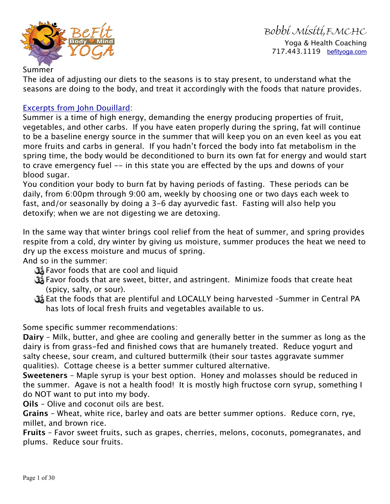

Bobbi Misiti,FMCHC Yoga & Health Coaching 717.443.1119 [befityoga.com](http://befityoga.com)

Summer

The idea of adjusting our diets to the seasons is to stay present, to understand what the seasons are doing to the body, and treat it accordingly with the foods that nature provides.

## [Excerpts from John Douillard](https://store.lifespa.com/product-category/bath-beauty/skin-care/?_sft_product_cat=bath-beauty):

Summer is a time of high energy, demanding the energy producing properties of fruit, vegetables, and other carbs. If you have eaten properly during the spring, fat will continue to be a baseline energy source in the summer that will keep you on an even keel as you eat more fruits and carbs in general. If you hadn't forced the body into fat metabolism in the spring time, the body would be deconditioned to burn its own fat for energy and would start to crave emergency fuel -- in this state you are efected by the ups and downs of your blood sugar.

You condition your body to burn fat by having periods of fasting. These periods can be daily, from 6:00pm through 9:00 am, weekly by choosing one or two days each week to fast, and/or seasonally by doing a 3-6 day ayurvedic fast. Fasting will also help you detoxify; when we are not digesting we are detoxing.

In the same way that winter brings cool relief from the heat of summer, and spring provides respite from a cold, dry winter by giving us moisture, summer produces the heat we need to dry up the excess moisture and mucus of spring.

And so in the summer:

- Favor foods that are cool and liquid
- Favor foods that are sweet, bitter, and astringent. Minimize foods that create heat (spicy, salty, or sour).
- Eat the foods that are plentiful and LOCALLY being harvested –Summer in Central PA has lots of local fresh fruits and vegetables available to us.

Some specific summer recommendations:

**Dairy** – Milk, butter, and ghee are cooling and generally better in the summer as long as the dairy is from grass-fed and finished cows that are humanely treated. Reduce yogurt and salty cheese, sour cream, and cultured buttermilk (their sour tastes aggravate summer qualities). Cottage cheese is a better summer cultured alternative.

**Sweeteners** – Maple syrup is your best option. Honey and molasses should be reduced in the summer. Agave is not a health food! It is mostly high fructose corn syrup, something I do NOT want to put into my body.

**Oils** – Olive and coconut oils are best.

**Grains** – Wheat, white rice, barley and oats are better summer options. Reduce corn, rye, millet, and brown rice.

**Fruits** – Favor sweet fruits, such as grapes, cherries, melons, coconuts, pomegranates, and plums. Reduce sour fruits.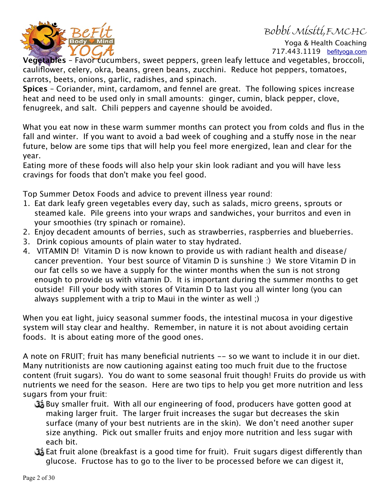## Bobbi Misiti,FMCHC



Yoga & Health Coaching 717.443.1119 [befityoga.com](http://befityoga.com)

**Vegetables** – Favor cucumbers, sweet peppers, green leafy lettuce and vegetables, broccoli, cauliflower, celery, okra, beans, green beans, zucchini. Reduce hot peppers, tomatoes, carrots, beets, onions, garlic, radishes, and spinach.

**Spices** – Coriander, mint, cardamom, and fennel are great. The following spices increase heat and need to be used only in small amounts: ginger, cumin, black pepper, clove, fenugreek, and salt. Chili peppers and cayenne should be avoided.

What you eat now in these warm summer months can protect you from colds and flus in the fall and winter. If you want to avoid a bad week of coughing and a stuffy nose in the near future, below are some tips that will help you feel more energized, lean and clear for the year.

Eating more of these foods will also help your skin look radiant and you will have less cravings for foods that don't make you feel good.

Top Summer Detox Foods and advice to prevent illness year round:

- 1. Eat dark leafy green vegetables every day, such as salads, micro greens, sprouts or steamed kale. Pile greens into your wraps and sandwiches, your burritos and even in your smoothies (try spinach or romaine).
- 2. Enjoy decadent amounts of berries, such as strawberries, raspberries and blueberries.
- 3. Drink copious amounts of plain water to stay hydrated.
- 4. VITAMIN D! Vitamin D is now known to provide us with radiant health and disease/ cancer prevention. Your best source of Vitamin D is sunshine :) We store Vitamin D in our fat cells so we have a supply for the winter months when the sun is not strong enough to provide us with vitamin D. It is important during the summer months to get outside! Fill your body with stores of Vitamin D to last you all winter long (you can always supplement with a trip to Maui in the winter as well ;)

When you eat light, juicy seasonal summer foods, the intestinal mucosa in your digestive system will stay clear and healthy. Remember, in nature it is not about avoiding certain foods. It is about eating more of the good ones.

A note on FRUIT; fruit has many beneficial nutrients -- so we want to include it in our diet. Many nutritionists are now cautioning against eating too much fruit due to the fructose content (fruit sugars). You do want to some seasonal fruit though! Fruits do provide us with nutrients we need for the season. Here are two tips to help you get more nutrition and less sugars from your fruit:

- Buy smaller fruit. With all our engineering of food, producers have gotten good at making larger fruit. The larger fruit increases the sugar but decreases the skin surface (many of your best nutrients are in the skin). We don't need another super size anything. Pick out smaller fruits and enjoy more nutrition and less sugar with each bit.
- Eat fruit alone (breakfast is a good time for fruit). Fruit sugars digest diferently than glucose. Fructose has to go to the liver to be processed before we can digest it,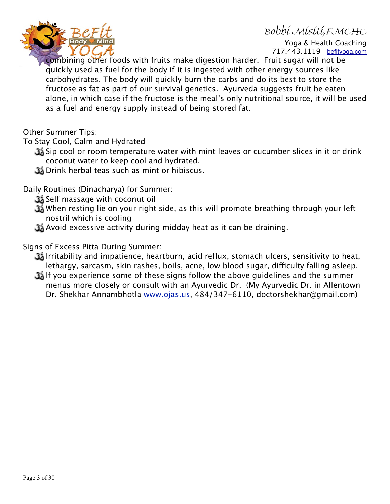## Bobbi Misiti,FMCHC



Yoga & Health Coaching 717.443.1119 [befityoga.com](http://befityoga.com)

combining other foods with fruits make digestion harder. Fruit sugar will not be quickly used as fuel for the body if it is ingested with other energy sources like carbohydrates. The body will quickly burn the carbs and do its best to store the fructose as fat as part of our survival genetics. Ayurveda suggests fruit be eaten alone, in which case if the fructose is the meal's only nutritional source, it will be used as a fuel and energy supply instead of being stored fat.

Other Summer Tips:

To Stay Cool, Calm and Hydrated

- Sip cool or room temperature water with mint leaves or cucumber slices in it or drink coconut water to keep cool and hydrated.
- Drink herbal teas such as mint or hibiscus.

Daily Routines (Dinacharya) for Summer:

- Self massage with coconut oil
- When resting lie on your right side, as this will promote breathing through your left nostril which is cooling
- Avoid excessive activity during midday heat as it can be draining.

Signs of Excess Pitta During Summer:

- Irritability and impatience, heartburn, acid reflux, stomach ulcers, sensitivity to heat, lethargy, sarcasm, skin rashes, boils, acne, low blood sugar, difficulty falling asleep.
- If you experience some of these signs follow the above guidelines and the summer menus more closely or consult with an Ayurvedic Dr. (My Ayurvedic Dr. in Allentown Dr. Shekhar Annambhotla [www.ojas.us](http://www.ojas.us), 484/347-6110, doctorshekhar@gmail.com)